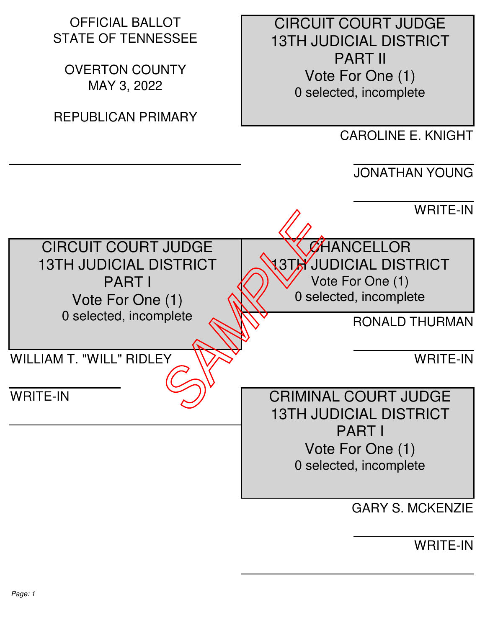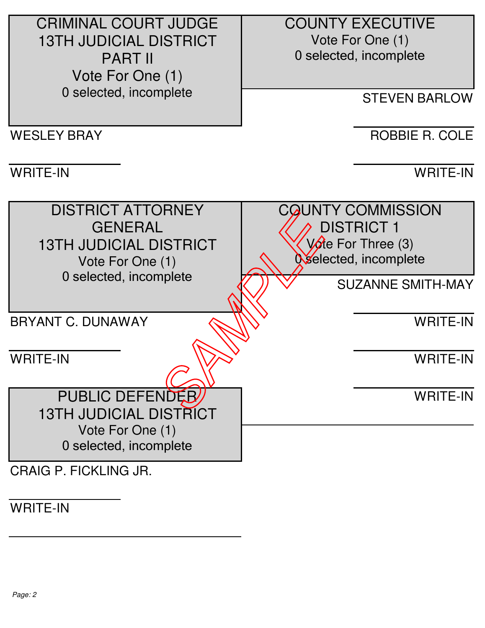CRIMINAL COURT JUDGE 13TH JUDICIAL DISTRICT PART II Vote For One (1) 0 selected, incomplete WESLEY BRAY WRITE-IN DISTRICT ATTORNEY **GENERAL**  13TH JUDICIAL DISTRICT Vote For One (1) 0 selected, incomplete BRYANT C. DUNAWAY WRITE-IN PUBLIC DEFENDER 13TH JUDICIAL DISTRICT Vote For One (1) 0 selected, incomplete CRAIG P. FICKLING JR. COUNTY EXECUTIVE Vote For One (1) 0 selected, incomplete STEVEN BARLOW ROBBIE R. COLE WRITE-IN **CQUNTY COMMISSION**  DISTRICT 1  $V$  $\theta$ e For Three (3) Oselected, incomplete SUZANNE SMITH-MAY WRITE-IN WRITE-IN WRITE-IN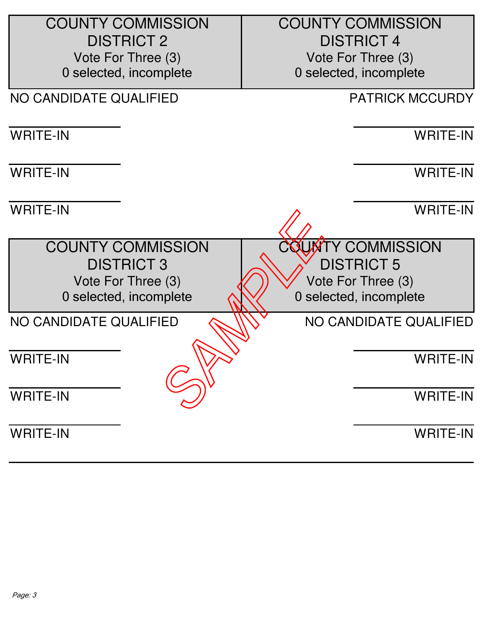| <b>COUNTY COMMISSION</b> | <b>COUNTY COMMISSION</b> |
|--------------------------|--------------------------|
| <b>DISTRICT 2</b>        | <b>DISTRICT 4</b>        |
| Vote For Three (3)       | Vote For Three (3)       |
| 0 selected, incomplete   | 0 selected, incomplete   |
| NO CANDIDATE QUALIFIED   | <b>PATRICK MCCURDY</b>   |
| <b>WRITE-IN</b>          | <b>WRITE-IN</b>          |
| <b>WRITE-IN</b>          | <b>WRITE-IN</b>          |
| <b>WRITE-IN</b>          | <b>WRITE-IN</b>          |
| <b>COUNTY COMMISSION</b> | COUNTY COMMISSION        |
| <b>DISTRICT 3</b>        | <b>DISTRICT 5</b>        |
| Vote For Three (3)       | Vote For Three (3)       |
| 0 selected, incomplete   | 0 selected, incomplete   |
| NO CANDIDATE QUALIFIED   | NO CANDIDATE QUALIFIED   |
| <b>WRITE-IN</b>          | <b>WRITE-IN</b>          |
| <b>WRITE-IN</b>          | <b>WRITE-IN</b>          |
| <b>WRITE-IN</b>          | <b>WRITE-IN</b>          |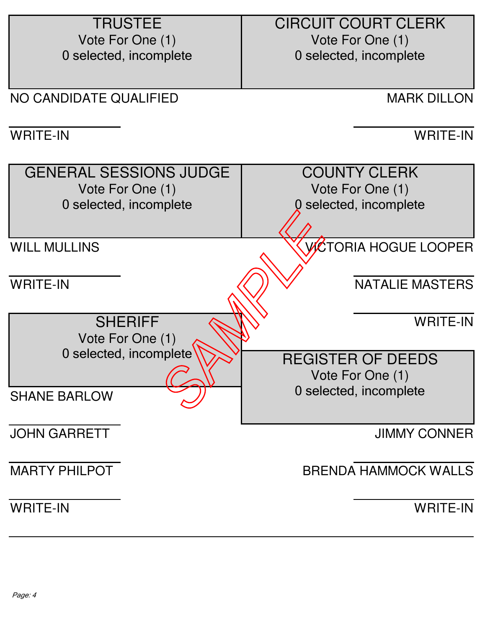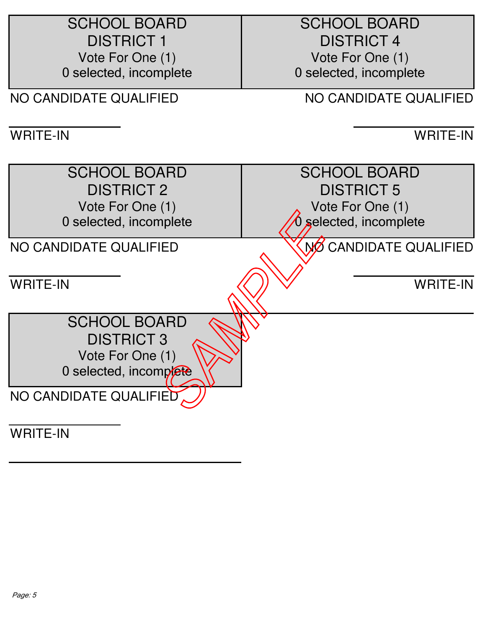| <b>SCHOOL BOARD</b>    | <b>SCHOOL BOARD</b>    |
|------------------------|------------------------|
| <b>DISTRICT 1</b>      | <b>DISTRICT 4</b>      |
| Vote For One (1)       | Vote For One (1)       |
| 0 selected, incomplete | 0 selected, incomplete |
| NO CANDIDATE QUALIFIED | NO CANDIDATE QUALIFIED |
|                        |                        |
| <b>WRITE-IN</b>        | <b>WRITE-IN</b>        |
| <b>SCHOOL BOARD</b>    | <b>SCHOOL BOARD</b>    |
| <b>DISTRICT 2</b>      | <b>DISTRICT 5</b>      |
| Vote For One (1)       | Vote For One (1)       |
| 0 selected, incomplete | 0 selected, incomplete |
|                        |                        |
| NO CANDIDATE QUALIFIED | NO CANDIDATE QUALIFIED |
|                        |                        |
| <b>WRITE-IN</b>        | <b>WRITE-IN</b>        |
|                        |                        |
| <b>SCHOOL BOARD</b>    |                        |
| <b>DISTRICT 3</b>      |                        |
| Vote For One (1)       |                        |
| 0 selected, incomplete |                        |
| NO CANDIDATE QUALIFIED |                        |
|                        |                        |
| $M$ DITE IN            |                        |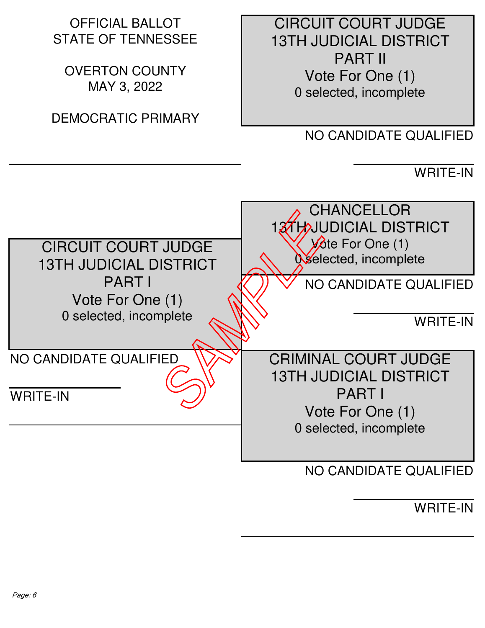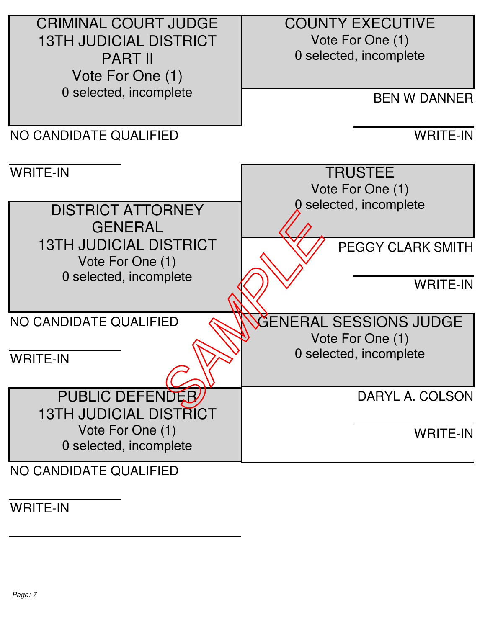